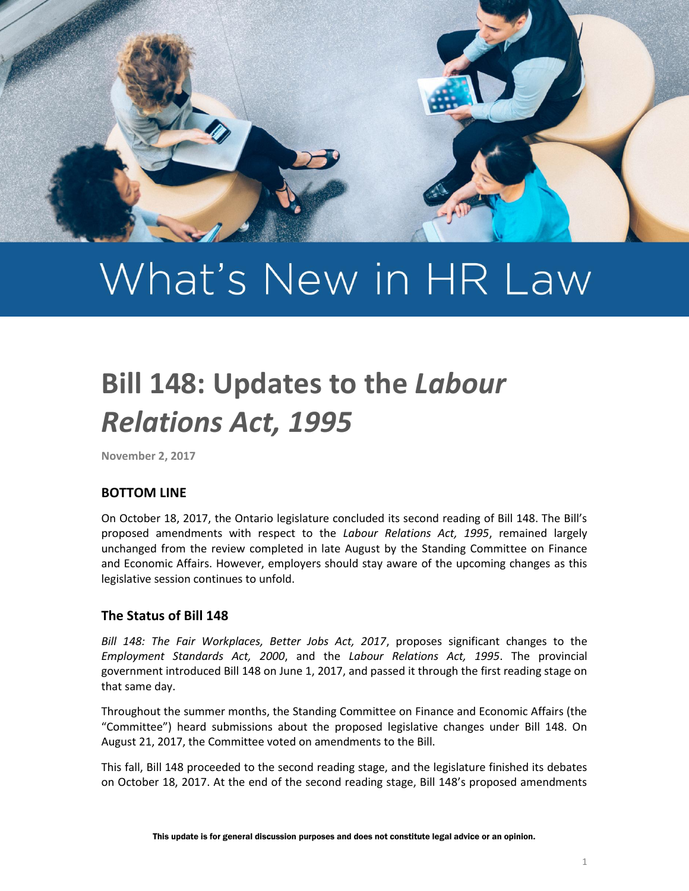

# What's New in HR Law

# **Bill 148: Updates to the** *Labour Relations Act, 1995*

**November 2, 2017**

### **BOTTOM LINE**

On October 18, 2017, the Ontario legislature concluded its second reading of Bill 148. The Bill's proposed amendments with respect to the *Labour Relations Act, 1995*, remained largely unchanged from the review completed in late August by the Standing Committee on Finance and Economic Affairs. However, employers should stay aware of the upcoming changes as this legislative session continues to unfold.

### **The Status of Bill 148**

*Bill 148: The Fair Workplaces, Better Jobs Act, 2017*, proposes significant changes to the *Employment Standards Act, 2000*, and the *Labour Relations Act, 1995*. The provincial government introduced Bill 148 on June 1, 2017, and passed it through the first reading stage on that same day.

Throughout the summer months, the Standing Committee on Finance and Economic Affairs (the "Committee") heard submissions about the proposed legislative changes under Bill 148. On August 21, 2017, the Committee voted on amendments to the Bill.

This fall, Bill 148 proceeded to the second reading stage, and the legislature finished its debates on October 18, 2017. At the end of the second reading stage, Bill 148's proposed amendments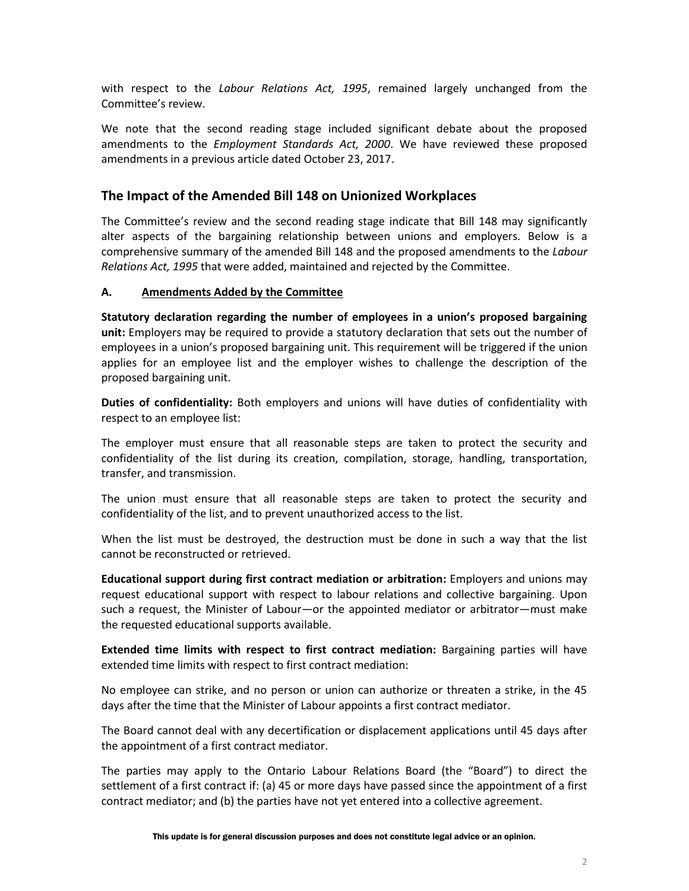with respect to the *Labour Relations Act, 1995*, remained largely unchanged from the Committee's review.

We note that the second reading stage included significant debate about the proposed amendments to the *Employment Standards Act, 2000*. We have reviewed these proposed amendments in a previous article dated October 23, 2017.

## **The Impact of the Amended Bill 148 on Unionized Workplaces**

The Committee's review and the second reading stage indicate that Bill 148 may significantly alter aspects of the bargaining relationship between unions and employers. Below is a comprehensive summary of the amended Bill 148 and the proposed amendments to the *Labour Relations Act, 1995* that were added, maintained and rejected by the Committee.

#### **A. Amendments Added by the Committee**

**Statutory declaration regarding the number of employees in a union's proposed bargaining unit:** Employers may be required to provide a statutory declaration that sets out the number of employees in a union's proposed bargaining unit. This requirement will be triggered if the union applies for an employee list and the employer wishes to challenge the description of the proposed bargaining unit.

**Duties of confidentiality:** Both employers and unions will have duties of confidentiality with respect to an employee list:

The employer must ensure that all reasonable steps are taken to protect the security and confidentiality of the list during its creation, compilation, storage, handling, transportation, transfer, and transmission.

The union must ensure that all reasonable steps are taken to protect the security and confidentiality of the list, and to prevent unauthorized access to the list.

When the list must be destroyed, the destruction must be done in such a way that the list cannot be reconstructed or retrieved.

**Educational support during first contract mediation or arbitration:** Employers and unions may request educational support with respect to labour relations and collective bargaining. Upon such a request, the Minister of Labour—or the appointed mediator or arbitrator—must make the requested educational supports available.

**Extended time limits with respect to first contract mediation:** Bargaining parties will have extended time limits with respect to first contract mediation:

No employee can strike, and no person or union can authorize or threaten a strike, in the 45 days after the time that the Minister of Labour appoints a first contract mediator.

The Board cannot deal with any decertification or displacement applications until 45 days after the appointment of a first contract mediator.

The parties may apply to the Ontario Labour Relations Board (the "Board") to direct the settlement of a first contract if: (a) 45 or more days have passed since the appointment of a first contract mediator; and (b) the parties have not yet entered into a collective agreement.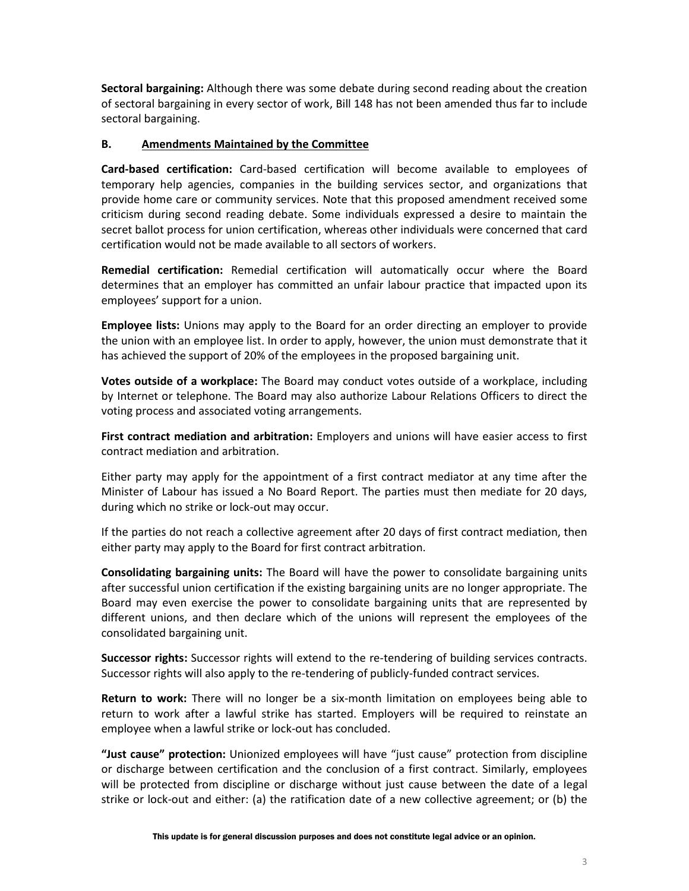**Sectoral bargaining:** Although there was some debate during second reading about the creation of sectoral bargaining in every sector of work, Bill 148 has not been amended thus far to include sectoral bargaining.

#### **B. Amendments Maintained by the Committee**

**Card-based certification:** Card-based certification will become available to employees of temporary help agencies, companies in the building services sector, and organizations that provide home care or community services. Note that this proposed amendment received some criticism during second reading debate. Some individuals expressed a desire to maintain the secret ballot process for union certification, whereas other individuals were concerned that card certification would not be made available to all sectors of workers.

**Remedial certification:** Remedial certification will automatically occur where the Board determines that an employer has committed an unfair labour practice that impacted upon its employees' support for a union.

**Employee lists:** Unions may apply to the Board for an order directing an employer to provide the union with an employee list. In order to apply, however, the union must demonstrate that it has achieved the support of 20% of the employees in the proposed bargaining unit.

**Votes outside of a workplace:** The Board may conduct votes outside of a workplace, including by Internet or telephone. The Board may also authorize Labour Relations Officers to direct the voting process and associated voting arrangements.

**First contract mediation and arbitration:** Employers and unions will have easier access to first contract mediation and arbitration.

Either party may apply for the appointment of a first contract mediator at any time after the Minister of Labour has issued a No Board Report. The parties must then mediate for 20 days, during which no strike or lock-out may occur.

If the parties do not reach a collective agreement after 20 days of first contract mediation, then either party may apply to the Board for first contract arbitration.

**Consolidating bargaining units:** The Board will have the power to consolidate bargaining units after successful union certification if the existing bargaining units are no longer appropriate. The Board may even exercise the power to consolidate bargaining units that are represented by different unions, and then declare which of the unions will represent the employees of the consolidated bargaining unit.

**Successor rights:** Successor rights will extend to the re-tendering of building services contracts. Successor rights will also apply to the re-tendering of publicly-funded contract services.

**Return to work:** There will no longer be a six-month limitation on employees being able to return to work after a lawful strike has started. Employers will be required to reinstate an employee when a lawful strike or lock-out has concluded.

**"Just cause" protection:** Unionized employees will have "just cause" protection from discipline or discharge between certification and the conclusion of a first contract. Similarly, employees will be protected from discipline or discharge without just cause between the date of a legal strike or lock-out and either: (a) the ratification date of a new collective agreement; or (b) the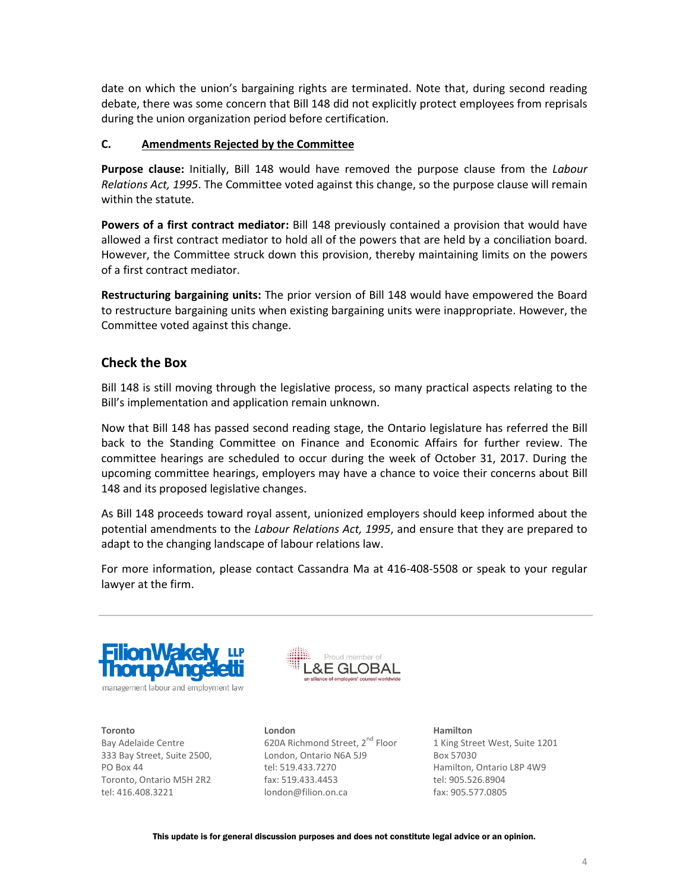date on which the union's bargaining rights are terminated. Note that, during second reading debate, there was some concern that Bill 148 did not explicitly protect employees from reprisals during the union organization period before certification.

#### **C. Amendments Rejected by the Committee**

**Purpose clause:** Initially, Bill 148 would have removed the purpose clause from the *Labour Relations Act, 1995*. The Committee voted against this change, so the purpose clause will remain within the statute.

**Powers of a first contract mediator:** Bill 148 previously contained a provision that would have allowed a first contract mediator to hold all of the powers that are held by a conciliation board. However, the Committee struck down this provision, thereby maintaining limits on the powers of a first contract mediator.

**Restructuring bargaining units:** The prior version of Bill 148 would have empowered the Board to restructure bargaining units when existing bargaining units were inappropriate. However, the Committee voted against this change.

# **Check the Box**

Bill 148 is still moving through the legislative process, so many practical aspects relating to the Bill's implementation and application remain unknown.

Now that Bill 148 has passed second reading stage, the Ontario legislature has referred the Bill back to the Standing Committee on Finance and Economic Affairs for further review. The committee hearings are scheduled to occur during the week of October 31, 2017. During the upcoming committee hearings, employers may have a chance to voice their concerns about Bill 148 and its proposed legislative changes.

As Bill 148 proceeds toward royal assent, unionized employers should keep informed about the potential amendments to the *Labour Relations Act, 1995*, and ensure that they are prepared to adapt to the changing landscape of labour relations law.

For more information, please contact Cassandra Ma at 416-408-5508 or speak to your regular lawyer at the firm.



**Toronto** Bay Adelaide Centre 333 Bay Street, Suite 2500, PO Box 44 Toronto, Ontario M5H 2R2 tel: 416.408.3221



**London** 620A Richmond Street, 2<sup>nd</sup> Floor London, Ontario N6A 5J9 tel: 519.433.7270 fax: 519.433.4453 london@filion.on.ca

**Hamilton** 1 King Street West, Suite 1201 Box 57030 Hamilton, Ontario L8P 4W9 tel: 905.526.8904 fax: 905.577.0805

This update is for general discussion purposes and does not constitute legal advice or an opinion.